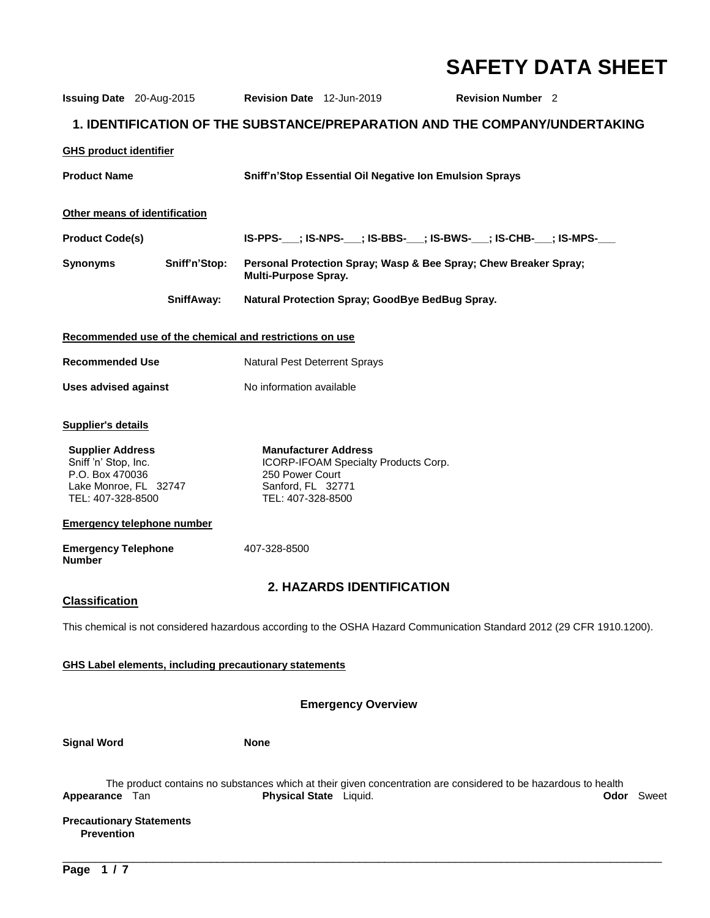# **SAFETY DATA SHEET**

| <b>Issuing Date</b> 20-Aug-2015                                                                                  |                                   | Revision Date 12-Jun-2019                                                                |                                      | <b>Revision Number</b> 2                                                                                                            |  |
|------------------------------------------------------------------------------------------------------------------|-----------------------------------|------------------------------------------------------------------------------------------|--------------------------------------|-------------------------------------------------------------------------------------------------------------------------------------|--|
| 1. IDENTIFICATION OF THE SUBSTANCE/PREPARATION AND THE COMPANY/UNDERTAKING                                       |                                   |                                                                                          |                                      |                                                                                                                                     |  |
| <b>GHS product identifier</b>                                                                                    |                                   |                                                                                          |                                      |                                                                                                                                     |  |
| <b>Product Name</b>                                                                                              |                                   |                                                                                          |                                      | Sniff'n'Stop Essential Oil Negative Ion Emulsion Sprays                                                                             |  |
|                                                                                                                  | Other means of identification     |                                                                                          |                                      |                                                                                                                                     |  |
| <b>Product Code(s)</b>                                                                                           |                                   |                                                                                          |                                      | IS-PPS-___; IS-NPS-___; IS-BBS-___; IS-BWS-___; IS-CHB-___; IS-MPS-___                                                              |  |
| <b>Synonyms</b>                                                                                                  | Sniff'n'Stop:                     | <b>Multi-Purpose Spray.</b>                                                              |                                      | Personal Protection Spray; Wasp & Bee Spray; Chew Breaker Spray;                                                                    |  |
|                                                                                                                  | SniffAway:                        |                                                                                          |                                      | Natural Protection Spray; GoodBye BedBug Spray.                                                                                     |  |
| Recommended use of the chemical and restrictions on use                                                          |                                   |                                                                                          |                                      |                                                                                                                                     |  |
| <b>Recommended Use</b>                                                                                           |                                   | Natural Pest Deterrent Sprays                                                            |                                      |                                                                                                                                     |  |
| <b>Uses advised against</b>                                                                                      |                                   | No information available                                                                 |                                      |                                                                                                                                     |  |
| <b>Supplier's details</b>                                                                                        |                                   |                                                                                          |                                      |                                                                                                                                     |  |
| <b>Supplier Address</b><br>Sniff 'n' Stop, Inc.<br>P.O. Box 470036<br>Lake Monroe, FL 32747<br>TEL: 407-328-8500 |                                   | <b>Manufacturer Address</b><br>250 Power Court<br>Sanford, FL 32771<br>TEL: 407-328-8500 | ICORP-IFOAM Specialty Products Corp. |                                                                                                                                     |  |
|                                                                                                                  | <b>Emergency telephone number</b> |                                                                                          |                                      |                                                                                                                                     |  |
| <b>Emergency Telephone</b><br><b>Number</b>                                                                      |                                   | 407-328-8500                                                                             |                                      |                                                                                                                                     |  |
| <b>2. HAZARDS IDENTIFICATION</b><br><b>Classification</b>                                                        |                                   |                                                                                          |                                      |                                                                                                                                     |  |
|                                                                                                                  |                                   |                                                                                          |                                      | This chemical is not considered hazardous according to the OSHA Hazard Communication Standard 2012 (29 CFR 1910.1200).              |  |
| <b>GHS Label elements, including precautionary statements</b>                                                    |                                   |                                                                                          |                                      |                                                                                                                                     |  |
| <b>Emergency Overview</b>                                                                                        |                                   |                                                                                          |                                      |                                                                                                                                     |  |
|                                                                                                                  |                                   |                                                                                          |                                      |                                                                                                                                     |  |
| <b>Signal Word</b>                                                                                               |                                   | <b>None</b>                                                                              |                                      |                                                                                                                                     |  |
| Appearance Tan                                                                                                   |                                   | Physical State Liquid.                                                                   |                                      | The product contains no substances which at their given concentration are considered to be hazardous to health<br><b>Odor</b> Sweet |  |
| <b>Precautionary Statements</b><br><b>Prevention</b>                                                             |                                   |                                                                                          |                                      |                                                                                                                                     |  |

\_\_\_\_\_\_\_\_\_\_\_\_\_\_\_\_\_\_\_\_\_\_\_\_\_\_\_\_\_\_\_\_\_\_\_\_\_\_\_\_\_\_\_\_\_\_\_\_\_\_\_\_\_\_\_\_\_\_\_\_\_\_\_\_\_\_\_\_\_\_\_\_\_\_\_\_\_\_\_\_\_\_\_\_\_\_\_\_\_\_\_\_\_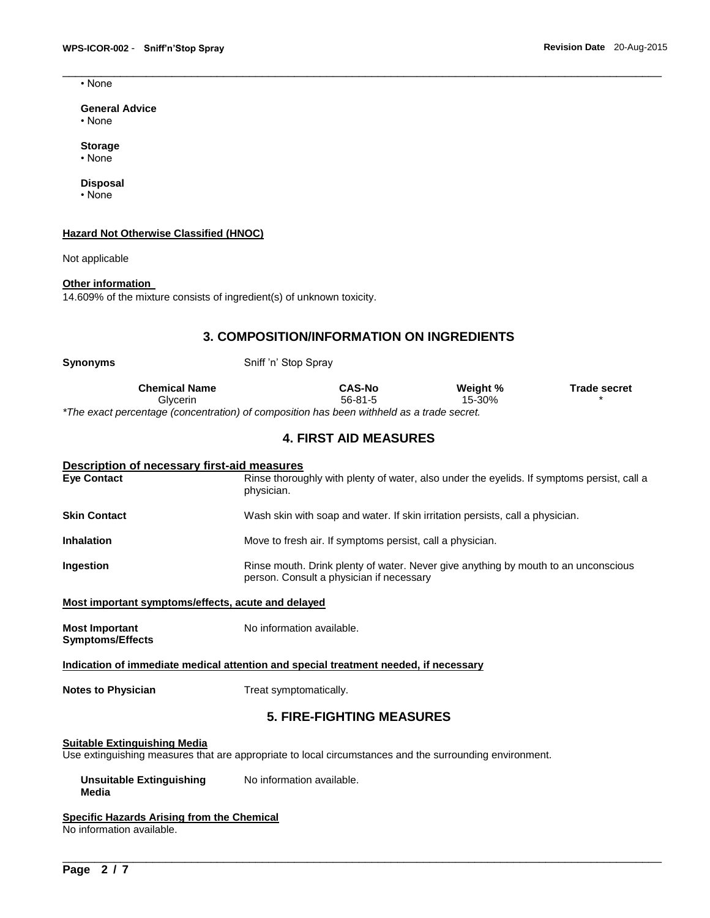• None

#### **General Advice**

• None

#### **Storage**

• None

#### **Disposal**

• None

#### **Hazard Not Otherwise Classified (HNOC)**

Not applicable

#### **Other information**

14.609% of the mixture consists of ingredient(s) of unknown toxicity.

## **3. COMPOSITION/INFORMATION ON INGREDIENTS**

\_\_\_\_\_\_\_\_\_\_\_\_\_\_\_\_\_\_\_\_\_\_\_\_\_\_\_\_\_\_\_\_\_\_\_\_\_\_\_\_\_\_\_\_\_\_\_\_\_\_\_\_\_\_\_\_\_\_\_\_\_\_\_\_\_\_\_\_\_\_\_\_\_\_\_\_\_\_\_\_\_\_\_\_\_\_\_\_\_\_\_\_\_

| Sniff 'n' Stop Spray |                      |                     |
|----------------------|----------------------|---------------------|
| <b>CAS-No</b>        | Weight %             | <b>Trade secret</b> |
| $56-81-5$            | 15-30%               |                     |
|                      | <b>Chemical Name</b> |                     |

*\*The exact percentage (concentration) of composition has been withheld as a trade secret.* 

## **4. FIRST AID MEASURES**

| <b>Description of necessary first-aid measures</b>                                                                                             |                                                                                                                                |  |  |  |
|------------------------------------------------------------------------------------------------------------------------------------------------|--------------------------------------------------------------------------------------------------------------------------------|--|--|--|
| <b>Eve Contact</b>                                                                                                                             | Rinse thoroughly with plenty of water, also under the eyelids. If symptoms persist, call a<br>physician.                       |  |  |  |
| <b>Skin Contact</b>                                                                                                                            | Wash skin with soap and water. If skin irritation persists, call a physician.                                                  |  |  |  |
| <b>Inhalation</b>                                                                                                                              | Move to fresh air. If symptoms persist, call a physician.                                                                      |  |  |  |
| Ingestion                                                                                                                                      | Rinse mouth. Drink plenty of water. Never give anything by mouth to an unconscious<br>person. Consult a physician if necessary |  |  |  |
| Most important symptoms/effects, acute and delayed                                                                                             |                                                                                                                                |  |  |  |
| <b>Most Important</b><br><b>Symptoms/Effects</b>                                                                                               | No information available.                                                                                                      |  |  |  |
| Indication of immediate medical attention and special treatment needed, if necessary                                                           |                                                                                                                                |  |  |  |
| <b>Notes to Physician</b>                                                                                                                      | Treat symptomatically.                                                                                                         |  |  |  |
| <b>5. FIRE-FIGHTING MEASURES</b>                                                                                                               |                                                                                                                                |  |  |  |
| <b>Suitable Extinguishing Media</b><br>Use extinguishing measures that are appropriate to local circumstances and the surrounding environment. |                                                                                                                                |  |  |  |
| <b>Unsuitable Extinguishing</b><br>Media                                                                                                       | No information available.                                                                                                      |  |  |  |
| Specific Hazards Arising from the Chemical<br>No information available.                                                                        |                                                                                                                                |  |  |  |

\_\_\_\_\_\_\_\_\_\_\_\_\_\_\_\_\_\_\_\_\_\_\_\_\_\_\_\_\_\_\_\_\_\_\_\_\_\_\_\_\_\_\_\_\_\_\_\_\_\_\_\_\_\_\_\_\_\_\_\_\_\_\_\_\_\_\_\_\_\_\_\_\_\_\_\_\_\_\_\_\_\_\_\_\_\_\_\_\_\_\_\_\_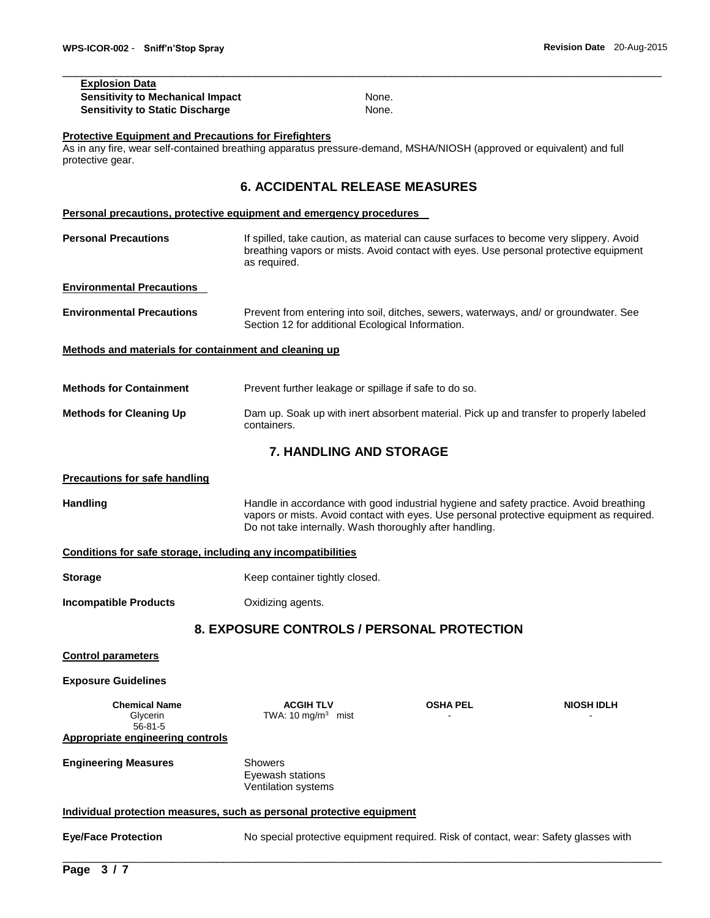| <b>Explosion Data</b>                   |
|-----------------------------------------|
| <b>Sensitivity to Mechanical Impact</b> |
| <b>Sensitivity to Static Discharge</b>  |
|                                         |

As in any fire, wear self-contained breathing apparatus pressure-demand, MSHA/NIOSH (approved or equivalent) and full protective gear.

## **6. ACCIDENTAL RELEASE MEASURES**

## **Personal precautions, protective equipment and emergency procedures Personal Precautions** If spilled, take caution, as material can cause surfaces to become very slippery. Avoid breathing vapors or mists. Avoid contact with eyes. Use personal protective equipment as required. **Environmental Precautions Environmental Precautions** Prevent from entering into soil, ditches, sewers, waterways, and/ or groundwater. See Section 12 for additional Ecological Information. **Methods and materials for containment and cleaning up Methods for Containment** Prevent further leakage or spillage if safe to do so.

**Methods for Cleaning Up** Dam up. Soak up with inert absorbent material. Pick up and transfer to properly labeled containers.

## **7. HANDLING AND STORAGE**

#### **Precautions for safe handling**

Handling **Handling Handle in accordance with good industrial hygiene and safety practice. Avoid breathing** vapors or mists. Avoid contact with eyes. Use personal protective equipment as required. Do not take internally. Wash thoroughly after handling.

|                              | Conditions for safe storage, including any incompatibilities |  |
|------------------------------|--------------------------------------------------------------|--|
| <b>Storage</b>               | Keep container tightly closed.                               |  |
| <b>Incompatible Products</b> | Oxidizing agents.                                            |  |
|                              | 8. EXPOSURE CONTROLS / PERSONAL PROTECTION                   |  |
| <b>Control parameters</b>    |                                                              |  |

\_\_\_\_\_\_\_\_\_\_\_\_\_\_\_\_\_\_\_\_\_\_\_\_\_\_\_\_\_\_\_\_\_\_\_\_\_\_\_\_\_\_\_\_\_\_\_\_\_\_\_\_\_\_\_\_\_\_\_\_\_\_\_\_\_\_\_\_\_\_\_\_\_\_\_\_\_\_\_\_\_\_\_\_\_\_\_\_\_\_\_\_\_

**Exposure Guidelines** 

Glycerin 56-81-5 **Appropriate engineering controls**

**Chemical Name Chemical Name ACGIH TLV COSHA PEL NIOSH IDLH** TWA: 10  $mg/m<sup>3</sup>$  mist mist - -

**Engineering Measures** Showers

Eyewash stations Ventilation systems

#### **Individual protection measures, such as personal protective equipment**

**Eye/Face Protection** No special protective equipment required. Risk of contact, wear: Safety glasses with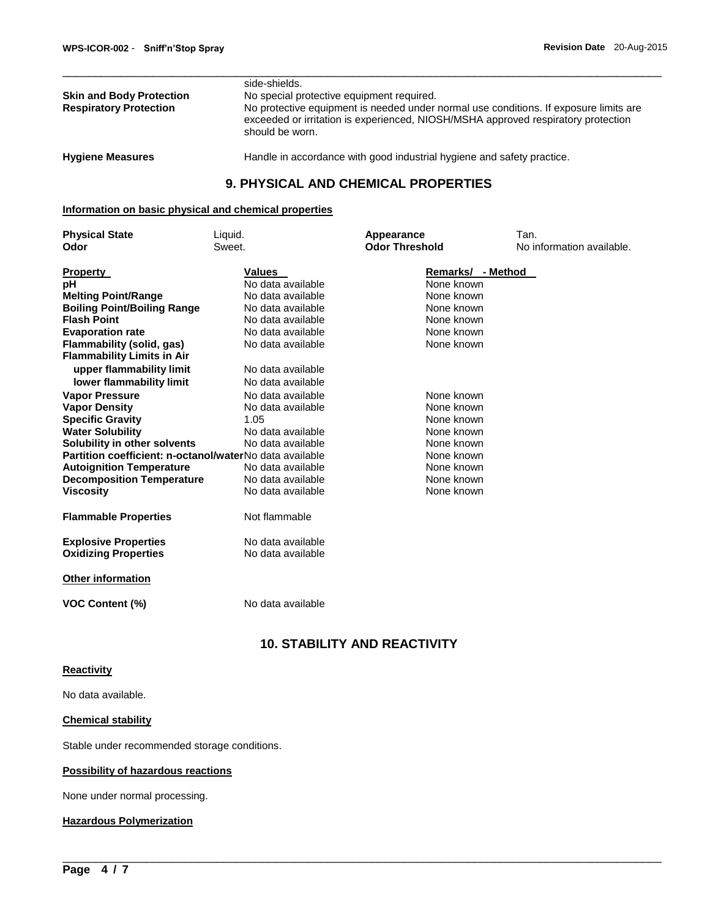|                                 | side-shields.                                                                                                                                                                                 |
|---------------------------------|-----------------------------------------------------------------------------------------------------------------------------------------------------------------------------------------------|
| <b>Skin and Body Protection</b> | No special protective equipment required.                                                                                                                                                     |
| <b>Respiratory Protection</b>   | No protective equipment is needed under normal use conditions. If exposure limits are<br>exceeded or irritation is experienced, NIOSH/MSHA approved respiratory protection<br>should be worn. |
|                                 |                                                                                                                                                                                               |

**Hygiene Measures** Handle in accordance with good industrial hygiene and safety practice.

## **9. PHYSICAL AND CHEMICAL PROPERTIES**

## **Information on basic physical and chemical properties**

| <b>Physical State</b>                                   | Liquid.           | Appearance            | Tan.                      |
|---------------------------------------------------------|-------------------|-----------------------|---------------------------|
| Odor                                                    | Sweet.            | <b>Odor Threshold</b> | No information available. |
| <b>Property</b>                                         | <b>Values</b>     | Remarks/ - Method     |                           |
| pН                                                      | No data available | None known            |                           |
| <b>Melting Point/Range</b>                              | No data available | None known            |                           |
| <b>Boiling Point/Boiling Range</b>                      | No data available | None known            |                           |
| <b>Flash Point</b>                                      | No data available | None known            |                           |
| <b>Evaporation rate</b>                                 | No data available | None known            |                           |
| Flammability (solid, gas)                               | No data available | None known            |                           |
| <b>Flammability Limits in Air</b>                       |                   |                       |                           |
| upper flammability limit                                | No data available |                       |                           |
| lower flammability limit                                | No data available |                       |                           |
| <b>Vapor Pressure</b>                                   | No data available | None known            |                           |
| <b>Vapor Density</b>                                    | No data available | None known            |                           |
| <b>Specific Gravity</b>                                 | 1.05              | None known            |                           |
| <b>Water Solubility</b>                                 | No data available | None known            |                           |
| Solubility in other solvents                            | No data available | None known            |                           |
| Partition coefficient: n-octanol/waterNo data available |                   | None known            |                           |
| <b>Autoignition Temperature</b>                         | No data available | None known            |                           |
| <b>Decomposition Temperature</b>                        | No data available | None known            |                           |
| <b>Viscosity</b>                                        | No data available | None known            |                           |
| <b>Flammable Properties</b>                             | Not flammable     |                       |                           |
| <b>Explosive Properties</b>                             | No data available |                       |                           |
| <b>Oxidizing Properties</b>                             | No data available |                       |                           |
| <b>Other information</b>                                |                   |                       |                           |
| <b>VOC Content (%)</b>                                  | No data available |                       |                           |

## **10. STABILITY AND REACTIVITY**

\_\_\_\_\_\_\_\_\_\_\_\_\_\_\_\_\_\_\_\_\_\_\_\_\_\_\_\_\_\_\_\_\_\_\_\_\_\_\_\_\_\_\_\_\_\_\_\_\_\_\_\_\_\_\_\_\_\_\_\_\_\_\_\_\_\_\_\_\_\_\_\_\_\_\_\_\_\_\_\_\_\_\_\_\_\_\_\_\_\_\_\_\_

#### **Reactivity**

No data available.

## **Chemical stability**

Stable under recommended storage conditions.

#### **Possibility of hazardous reactions**

None under normal processing.

#### **Hazardous Polymerization**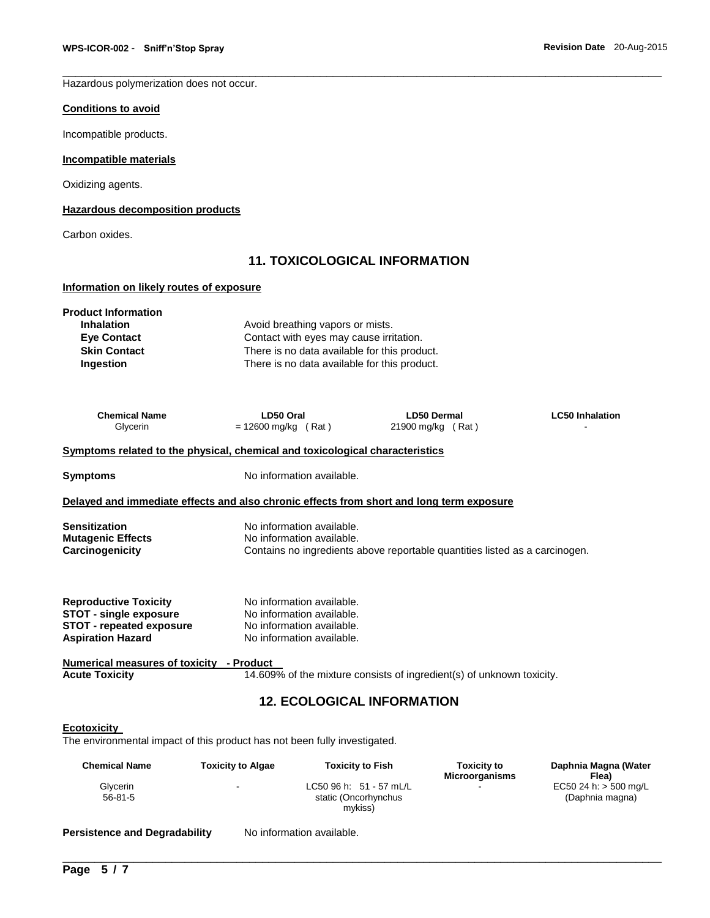Hazardous polymerization does not occur.

## **Conditions to avoid**

Incompatible products.

#### **Incompatible materials**

Oxidizing agents.

**Hazardous decomposition products**

Carbon oxides.

## **11. TOXICOLOGICAL INFORMATION**

\_\_\_\_\_\_\_\_\_\_\_\_\_\_\_\_\_\_\_\_\_\_\_\_\_\_\_\_\_\_\_\_\_\_\_\_\_\_\_\_\_\_\_\_\_\_\_\_\_\_\_\_\_\_\_\_\_\_\_\_\_\_\_\_\_\_\_\_\_\_\_\_\_\_\_\_\_\_\_\_\_\_\_\_\_\_\_\_\_\_\_\_\_

#### **Information on likely routes of exposure**

| <b>Product Information</b>                                                               |                                  |                                              |                                                                             |                               |  |
|------------------------------------------------------------------------------------------|----------------------------------|----------------------------------------------|-----------------------------------------------------------------------------|-------------------------------|--|
| <b>Inhalation</b>                                                                        | Avoid breathing vapors or mists. |                                              |                                                                             |                               |  |
| <b>Eve Contact</b>                                                                       |                                  | Contact with eyes may cause irritation.      |                                                                             |                               |  |
| <b>Skin Contact</b>                                                                      |                                  | There is no data available for this product. |                                                                             |                               |  |
| Ingestion                                                                                |                                  | There is no data available for this product. |                                                                             |                               |  |
|                                                                                          |                                  |                                              |                                                                             |                               |  |
| <b>Chemical Name</b>                                                                     | LD50 Oral                        |                                              | <b>LD50 Dermal</b>                                                          | <b>LC50 Inhalation</b>        |  |
| Glycerin                                                                                 | $= 12600$ mg/kg (Rat)            |                                              | 21900 mg/kg (Rat)                                                           |                               |  |
| Symptoms related to the physical, chemical and toxicological characteristics             |                                  |                                              |                                                                             |                               |  |
| <b>Symptoms</b>                                                                          |                                  | No information available.                    |                                                                             |                               |  |
| Delayed and immediate effects and also chronic effects from short and long term exposure |                                  |                                              |                                                                             |                               |  |
| <b>Sensitization</b>                                                                     |                                  | No information available.                    |                                                                             |                               |  |
| <b>Mutagenic Effects</b><br>No information available.                                    |                                  |                                              |                                                                             |                               |  |
| Carcinogenicity                                                                          |                                  |                                              | Contains no ingredients above reportable quantities listed as a carcinogen. |                               |  |
|                                                                                          |                                  |                                              |                                                                             |                               |  |
| <b>Reproductive Toxicity</b>                                                             |                                  | No information available.                    |                                                                             |                               |  |
| <b>STOT - single exposure</b>                                                            |                                  | No information available.                    |                                                                             |                               |  |
| <b>STOT - repeated exposure</b>                                                          |                                  | No information available.                    |                                                                             |                               |  |
| <b>Aspiration Hazard</b>                                                                 |                                  | No information available.                    |                                                                             |                               |  |
| <u><b>Numerical measures of toxicity - Product</b></u>                                   |                                  |                                              |                                                                             |                               |  |
| <b>Acute Toxicity</b>                                                                    |                                  |                                              | 14.609% of the mixture consists of ingredient(s) of unknown toxicity.       |                               |  |
|                                                                                          |                                  | <b>12. ECOLOGICAL INFORMATION</b>            |                                                                             |                               |  |
| Ecotoxicity                                                                              |                                  |                                              |                                                                             |                               |  |
| The environmental impact of this product has not been fully investigated.                |                                  |                                              |                                                                             |                               |  |
| <b>Chemical Name</b>                                                                     | <b>Toxicity to Algae</b>         | <b>Toxicity to Fish</b>                      | <b>Toxicity to</b><br><b>Microorganisms</b>                                 | Daphnia Magna (Water<br>Flea) |  |
| Glvcerin                                                                                 |                                  | $LC5096 h: 51 - 57 mL/L$                     |                                                                             | $EC5024 h: > 500$ ma/L        |  |

\_\_\_\_\_\_\_\_\_\_\_\_\_\_\_\_\_\_\_\_\_\_\_\_\_\_\_\_\_\_\_\_\_\_\_\_\_\_\_\_\_\_\_\_\_\_\_\_\_\_\_\_\_\_\_\_\_\_\_\_\_\_\_\_\_\_\_\_\_\_\_\_\_\_\_\_\_\_\_\_\_\_\_\_\_\_\_\_\_\_\_\_\_

static (Oncorhynchus mykiss)

- LC50 96 h: 51 - 57 mL/L

- EC50 24 h: > 500 mg/L (Daphnia magna)

Persistence and Degradability No information available.

Glycerin  $56 - 81 - 5$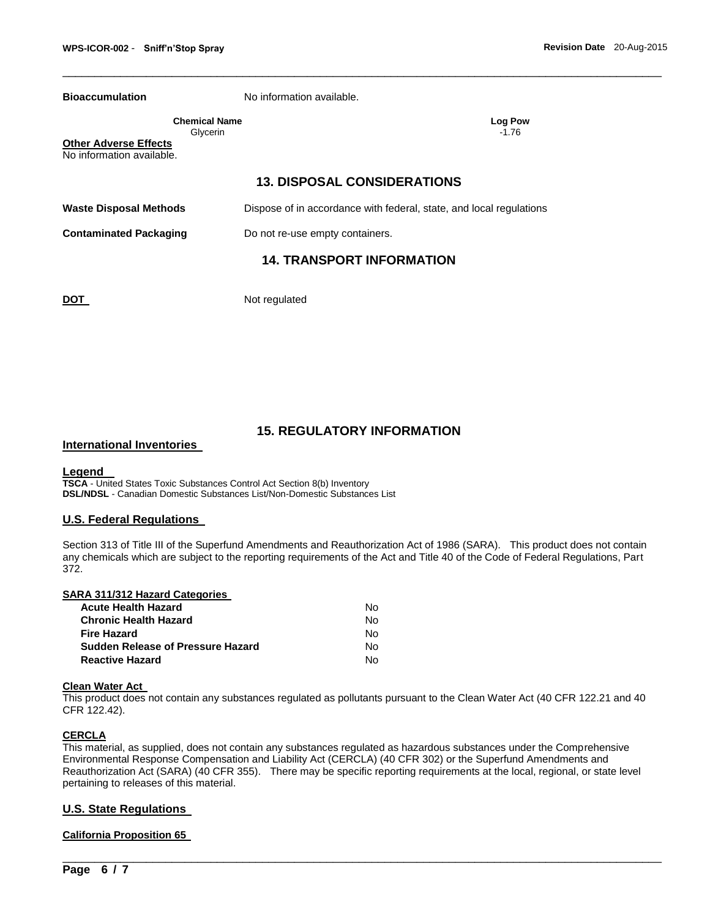**Bioaccumulation** No information available.

| Chemical Name | Log Po  |
|---------------|---------|
| Glycerin      | $-1.76$ |

**Log Pow -1.76** 

**Other Adverse Effects** No information available.

## **13. DISPOSAL CONSIDERATIONS**

\_\_\_\_\_\_\_\_\_\_\_\_\_\_\_\_\_\_\_\_\_\_\_\_\_\_\_\_\_\_\_\_\_\_\_\_\_\_\_\_\_\_\_\_\_\_\_\_\_\_\_\_\_\_\_\_\_\_\_\_\_\_\_\_\_\_\_\_\_\_\_\_\_\_\_\_\_\_\_\_\_\_\_\_\_\_\_\_\_\_\_\_\_

**Waste Disposal Methods** Dispose of in accordance with federal, state, and local regulations

**Contaminated Packaging <b>Do not re-use empty containers.** 

## **14. TRANSPORT INFORMATION**

**DOT** Not regulated

## **15. REGULATORY INFORMATION**

#### **International Inventories**

#### **Legend**

**TSCA** - United States Toxic Substances Control Act Section 8(b) Inventory **DSL/NDSL** - Canadian Domestic Substances List/Non-Domestic Substances List

#### **U.S. Federal Regulations**

Section 313 of Title III of the Superfund Amendments and Reauthorization Act of 1986 (SARA). This product does not contain any chemicals which are subject to the reporting requirements of the Act and Title 40 of the Code of Federal Regulations, Part 372.

| SARA 311/312 Hazard Categories           |    |
|------------------------------------------|----|
| <b>Acute Health Hazard</b>               | N٥ |
| <b>Chronic Health Hazard</b>             | N٥ |
| <b>Fire Hazard</b>                       | N٥ |
| <b>Sudden Release of Pressure Hazard</b> | N٥ |
| <b>Reactive Hazard</b>                   | N٥ |

#### **Clean Water Act**

This product does not contain any substances regulated as pollutants pursuant to the Clean Water Act (40 CFR 122.21 and 40 CFR 122.42).

#### **CERCLA**

This material, as supplied, does not contain any substances regulated as hazardous substances under the Comprehensive Environmental Response Compensation and Liability Act (CERCLA) (40 CFR 302) or the Superfund Amendments and Reauthorization Act (SARA) (40 CFR 355). There may be specific reporting requirements at the local, regional, or state level pertaining to releases of this material.

\_\_\_\_\_\_\_\_\_\_\_\_\_\_\_\_\_\_\_\_\_\_\_\_\_\_\_\_\_\_\_\_\_\_\_\_\_\_\_\_\_\_\_\_\_\_\_\_\_\_\_\_\_\_\_\_\_\_\_\_\_\_\_\_\_\_\_\_\_\_\_\_\_\_\_\_\_\_\_\_\_\_\_\_\_\_\_\_\_\_\_\_\_

#### **U.S. State Regulations**

#### **California Proposition 65**